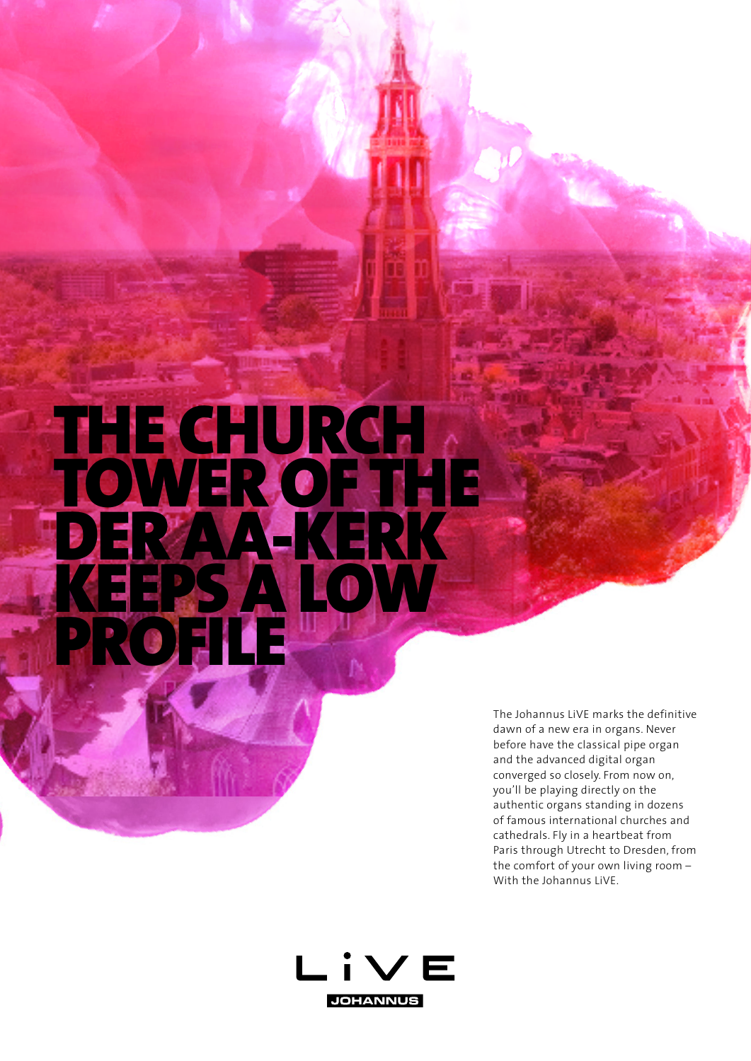## THE CHURCH TOWER OF THE DER AA-KERK KEEPS A LOW **PROFILE**

The Johannus LiVE marks the definitive dawn of a new era in organs. Never before have the classical pipe organ and the advanced digital organ converged so closely. From now on, you'll be playing directly on the authentic organs standing in dozens of famous international churches and cathedrals. Fly in a heartbeat from Paris through Utrecht to Dresden, from the comfort of your own living room – With the Johannus LiVE.